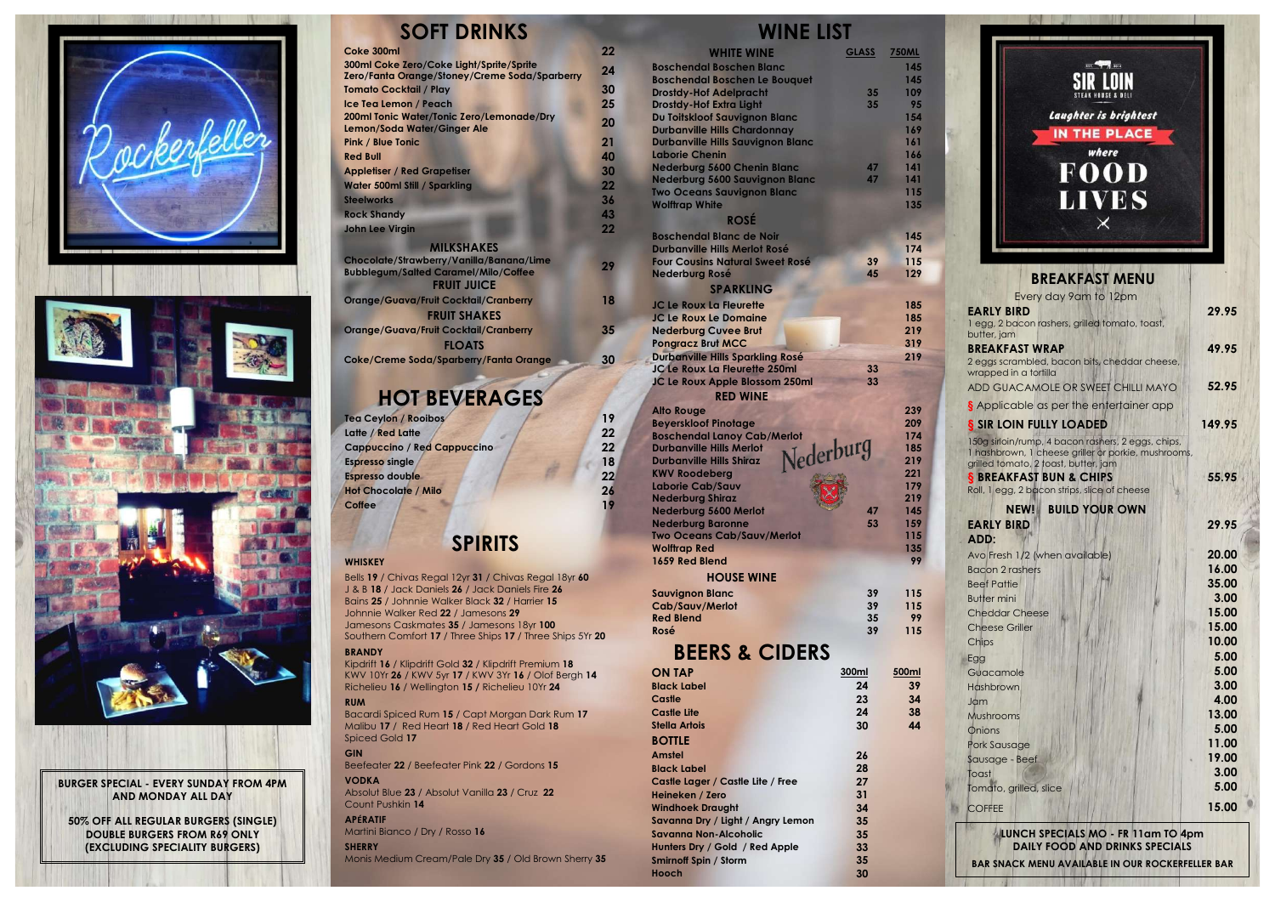| 300ml | 500ml |
|-------|-------|
| 24    | 39    |
| 23    | 34    |
| 24    | 38    |
| 30    | 44    |
|       |       |
| 26    |       |
| 28    |       |
| 27    |       |
| 31    |       |
| 34    |       |
| 35    |       |
| 35    |       |
| 33    |       |
| 35    |       |
| 30    |       |
|       |       |



### **SOFT DRINKS**

| Coke 300ml                                           | 22 |
|------------------------------------------------------|----|
| 300ml Coke Zero/Coke Light/Sprite/Sprite             | 24 |
| <b>Zero/Fanta Orange/Stoney/Creme Soda/Sparberry</b> |    |
| <b>Tomato Cocktail / Play</b>                        | 30 |
| Ice Tea Lemon / Peach                                | 25 |
| 200ml Tonic Water/Tonic Zero/Lemonade/Dry            | 20 |
| Lemon/Soda Water/Ginger Ale                          |    |
| <b>Pink / Blue Tonic</b>                             | 21 |
| <b>Red Bull</b>                                      | 40 |
| <b>Appletiser / Red Grapetiser</b>                   | 30 |
| <b>Water 500ml Still / Sparkling</b>                 | 22 |
| <b>Steelworks</b>                                    | 36 |
| <b>Rock Shandy</b>                                   | 43 |
| <b>John Lee Virgin</b>                               | 22 |
| <b>MILKSHAKES</b>                                    |    |
| Chocolate/Strawberry/Vanilla/Banana/Lime             | 29 |
|                                                      |    |

| Chocolate/Strawberry/Vanilla/Banana/Lime     | 29 |
|----------------------------------------------|----|
| <b>Bubblegum/Salted Caramel/Milo/Coffee</b>  |    |
| <b>FRUIT JUICE</b>                           |    |
| <b>Orange/Guava/Fruit Cocktail/Cranberry</b> | 18 |
| <b>FRUIT SHAKES</b>                          |    |
| <b>Orange/Guava/Fruit Cocktail/Cranberry</b> | 35 |
| <b>FLOATS</b>                                |    |
| Coke/Creme Soda/Sparberry/Fanta Orange       | 30 |

# **HOT BEVERAGES**

| Tea Ceylon / Rooibos               | 19 |
|------------------------------------|----|
| Latte / Red Latte                  | 22 |
| <b>Cappuccino / Red Cappuccino</b> | 22 |
| <b>Espresso single</b>             | 18 |
| Espresso double                    | 22 |
| <b>Hot Chocolate / Milo</b>        | 26 |
| Coffee                             | 19 |

## **SPIRITS**

### **WHISKEY**

Bells **19** / Chivas Regal 12yr **31** / Chivas Regal 18yr **60** J & B **18** / Jack Daniels **26** / Jack Daniels Fire **26** Bains **25** / Johnnie Walker Black **32** / Harrier **15** Johnnie Walker Red **22** / Jamesons **29** Jamesons Caskmates **35** / Jamesons 18yr **100** Southern Comfort **17** / Three Ships **17** / Three Ships 5Yr **20 BRANDY**

Kipdrift **16** / Klipdrift Gold **32** / Klipdrift Premium **18** KWV 10Yr **26** / KWV 5yr **17** / KWV 3Yr **16** / Olof Bergh **14** Richelieu **16** / Wellington **15 /** Richelieu 10Yr **24**

| <b>WHITE WINE</b>                                             | <b>GLASS</b> | <b>750ML</b> |
|---------------------------------------------------------------|--------------|--------------|
| <b>Boschendal Boschen Blanc</b>                               |              | 145          |
| <b>Boschendal Boschen Le Bouquet</b>                          |              | 145          |
| <b>Drostdy-Hof Adelpracht</b>                                 | 35           | 109          |
| <b>Drostdy-Hof Extra Light</b>                                | 35           | 95           |
| Du Toitskloof Sauvignon Blanc                                 |              | 154          |
| <b>Durbanville Hills Chardonnay</b>                           |              | 169          |
| <b>Durbanville Hills Sauvignon Blanc</b>                      |              | 161          |
| <b>Laborie Chenin</b>                                         |              | 166          |
| <b>Nederburg 5600 Chenin Blanc</b>                            | 47           | 141          |
| <b>Nederburg 5600 Sauvignon Blanc</b>                         | 47           | 141          |
| <b>Two Oceans Sauvignon Blanc</b>                             |              | 115          |
| <b>Wolftrap White</b>                                         |              | 135          |
| <b>ROSÉ</b>                                                   |              |              |
|                                                               |              |              |
| <b>Boschendal Blanc de Noir</b>                               |              | 145          |
| <b>Durbanville Hills Merlot Rosé</b>                          |              | 174          |
| <b>Four Cousins Natural Sweet Rosé</b>                        | 39           | 115          |
| <b>Nederburg Rosé</b>                                         | 45           | 129          |
| <b>SPARKLING</b>                                              |              |              |
| <b>JC Le Roux La Fleurette</b>                                |              | 185          |
| <b>JC Le Roux Le Domaine</b>                                  |              | 185          |
| <b>Nederburg Cuvee Brut</b>                                   |              | 219          |
| <b>Pongracz Brut MCC</b>                                      |              | 319          |
| <b>Durbanville Hills Sparkling Rosé</b>                       |              | 219          |
| JC Le Roux La Fleurette 250ml                                 | 33           |              |
| JC Le Roux Apple Blossom 250ml                                | 33           |              |
| <b>RED WINE</b>                                               |              |              |
|                                                               |              | 239          |
| <b>Alto Rouge</b>                                             |              | 209          |
| <b>Beyerskloof Pinotage</b>                                   |              | 174          |
| <b>Boschendal Lanoy Cab/Merlot</b><br>Nederburg               |              | 185          |
| <b>Durbanville Hills Merlot</b>                               |              | 219          |
| <b>Durbanville Hills Shiraz</b>                               |              | 221          |
| <b>KWV Roodeberg</b>                                          |              | 179          |
| Laborie Cab/Sauv<br><b>Nederburg Shiraz</b>                   |              | 219          |
| <b>Nederburg 5600 Merlot</b>                                  | 47           | 145          |
|                                                               |              |              |
| <b>Nederburg Baronne</b><br><b>Two Oceans Cab/Sauv/Merlot</b> | 53           | 159<br>115   |
| <b>Wolftrap Red</b>                                           |              | 135          |
| 1659 Red Blend                                                |              | 99           |
|                                                               |              |              |
| <b>HOUSE WINE</b>                                             |              |              |
| <b>Sauvignon Blanc</b>                                        | 39           | 115          |
| Cab/Sauv/Merlot                                               | 39           | 115          |
| <b>Red Blend</b>                                              | 35           | 99           |
| Rosé                                                          | 39           | 115          |
|                                                               |              |              |
| <b>BEERS &amp; CIDERS</b>                                     |              |              |
| <b>ON TAP</b>                                                 | 300ml        | 500ml        |

#### **RUM**

Bacardi Spiced Rum **15** / Capt Morgan Dark Rum **17** Malibu **17** / Red Heart **18** / Red Heart Gold **18** Spiced Gold **17**

#### **GIN** Beefeater **22** / Beefeater Pink **22** / Gordons **15**

### **VODKA**

Absolut Blue **23** / Absolut Vanilla **23** / Cruz **22** Count Pushkin **14**

#### **APÉRATIF** Martini Bianco / Dry / Rosso **16**

**SHERRY**

Monis Medium Cream/Pale Dry **35** / Old Brown Sherry **35**

## **WINE LIST**



#### **EVERY SUNDAY FROM 4PM BURGER SPECIAL - AND MONDAY ALL DAY**

**50% OFF ALL REGULAR BURGERS (SINGLE) DOUBLE BURGERS FROM R69 ONLY (EXCLUDING SPECIALITY BURGERS)**

| <b>BREAKFAST MENU</b>                                                                                                                                                                                                                                              |                 |
|--------------------------------------------------------------------------------------------------------------------------------------------------------------------------------------------------------------------------------------------------------------------|-----------------|
| Every day 9am to 12pm<br><b>EARLY BIRD</b><br>1 egg, 2 bacon rashers, grilled tomato, toast,<br>butter, jam                                                                                                                                                        | 29.95           |
| <b>BREAKFAST WRAP</b><br>2 eggs scrambled, bacon bits, cheddar cheese,<br>wrapped in a tortilla                                                                                                                                                                    | 49.95           |
| ADD GUACAMOLE OR SWEET CHILLI MAYO                                                                                                                                                                                                                                 | 52.95           |
| S Applicable as per the entertainer app                                                                                                                                                                                                                            |                 |
| S SIR LOIN FULLY LOADED<br>150g sirloin/rump, 4 bacon rashers, 2 eggs, chips,<br>1 hashbrown, 1 cheese griller or porkie, mushrooms,<br>grilled tomato, 2 toast, butter, jam<br><b>§ BREAKFAST BUN &amp; CHIPS</b><br>Roll, 1 egg, 2 bacon strips, slice of cheese | 149.95<br>55.95 |
| <b>BUILD YOUR OWN</b><br>NEW!<br><b>EARLY BIRD</b>                                                                                                                                                                                                                 | 29.95           |
| ADD:                                                                                                                                                                                                                                                               |                 |
| Avo Fresh 1/2 (when available)                                                                                                                                                                                                                                     | 20.00           |
| <b>Bacon 2 rashers</b>                                                                                                                                                                                                                                             | 16.00           |
| <b>Beef Pattie</b>                                                                                                                                                                                                                                                 | 35.00           |
| <b>Butter mini</b>                                                                                                                                                                                                                                                 | 3.00            |
| <b>Cheddar Cheese</b>                                                                                                                                                                                                                                              | 15.00           |
| <b>Cheese Griller</b>                                                                                                                                                                                                                                              | 15.00           |
| Chips                                                                                                                                                                                                                                                              | 10.00<br>5.00   |
| Egg<br>Guacamole                                                                                                                                                                                                                                                   | 5.00            |
| Hashbrown                                                                                                                                                                                                                                                          | 3.00            |
| Jam                                                                                                                                                                                                                                                                | 4.00            |
| Mushrooms                                                                                                                                                                                                                                                          | 13.00           |
| Onions                                                                                                                                                                                                                                                             | 5.00            |
| Pork Sausage                                                                                                                                                                                                                                                       | 11.00           |
| Sausage - Beef                                                                                                                                                                                                                                                     | 19.00           |
| Toast                                                                                                                                                                                                                                                              | 3.00            |
| Tomato, grilled, slice                                                                                                                                                                                                                                             | 5.00            |
| <b>COFFEE</b>                                                                                                                                                                                                                                                      | 15.00           |
| LUNCH SPECIALS MO - FR 11am TO 4pm                                                                                                                                                                                                                                 |                 |

**DAILY FOOD AND DRINKS SPECIALS**

**BAR SNACK MENU AVAILABLE IN OUR ROCKERFELLER BAR**